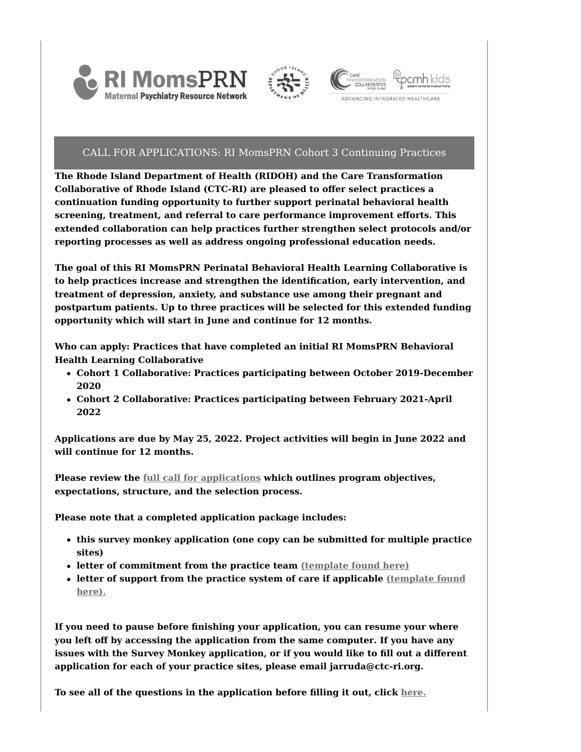





### CALL FOR APPLICATIONS: RI MomsPRN Cohort 3 Continuing Practices

**The Rhode Island Department of Health (RIDOH) and the Care Transformation Collaborative of Rhode Island (CTC-RI) are pleased to offer select practices a continuation funding opportunity to further support perinatal behavioral health screening, treatment, and referral to care performance improvement efforts. This extended collaboration can help practices further strengthen select protocols and/or reporting processes as well as address ongoing professional education needs.**

**The goal of this RI MomsPRN Perinatal Behavioral Health Learning Collaborative is to help practices increase and strengthen the identification, early intervention, and treatment of depression, anxiety, and substance use among their pregnant and postpartum patients. Up to three practices will be selected for this extended funding opportunity which will start in June and continue for 12 months.**

**Who can apply: Practices that have completed an initial RI MomsPRN Behavioral Health Learning Collaborative**

- **Cohort 1 Collaborative: Practices participating between October 2019-December 2020**
- **Cohort 2 Collaborative: Practices participating between February 2021-April 2022**

**Applications are due by May 25, 2022. Project activities will begin in June 2022 and will continue for 12 months.**

**Please review the full call for [applications](https://ctc-ri.org/sites/default/files/uploads/RI%20MomsPRN%20Application%20for%20Extended%20Participation%204.21.22%20-%20FINAL.docx) which outlines program objectives, expectations, structure, and the selection process.**

**Please note that a completed application package includes:**

- **this survey monkey application (one copy can be submitted for multiple practice sites)**
- **letter of commitment from the practice team [\(template](https://ctc-ri.org/sites/default/files/uploads/Appendix%20A%20-%20Practice%20CL%20Template%20Cohort%202%20Continued%20Application.docx) found here)**
- **letter of support from the practice system of care if [applicable](https://ctc-ri.org/sites/default/files/uploads/Appendix%20B%20-%20System%20of%20Care%20Letter%20of%20Support%20Template%20Cohort%202%20Continued%20Application.docx) (template found here).**

**If you need to pause before finishing your application, you can resume your where you left off by accessing the application from the same computer. If you have any issues with the Survey Monkey application, or if you would like to fill out a different application for each of your practice sites, please email jarruda@ctc-ri.org.**

**To see all of the questions in the application before filling it out, click here.**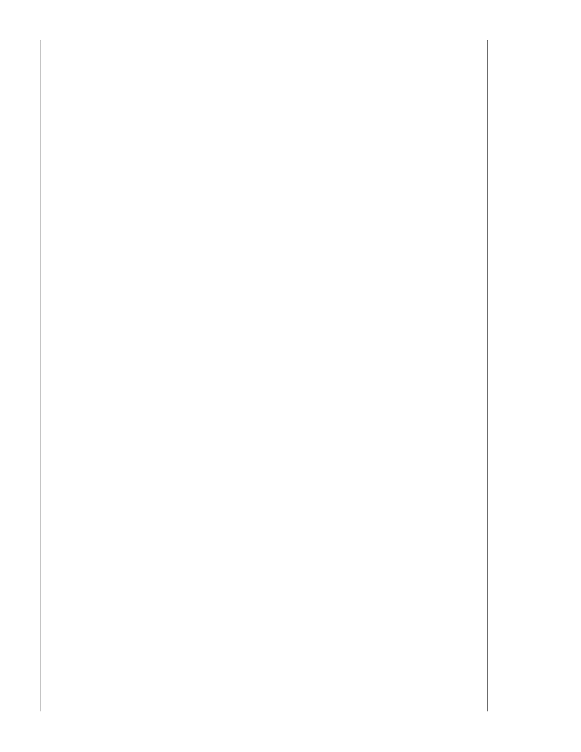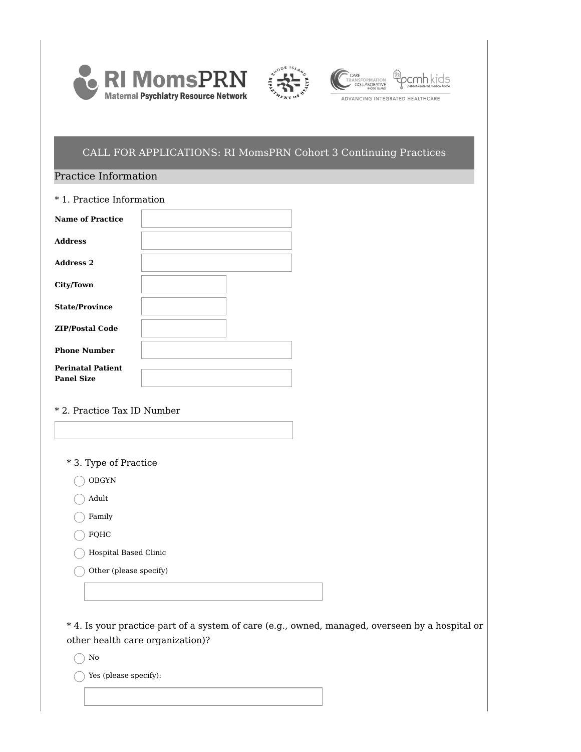





## CALL FOR APPLICATIONS: RI MomsPRN Cohort 3 Continuing Practices

#### Practice Information

| *1. Practice Information                      |  |
|-----------------------------------------------|--|
| <b>Name of Practice</b>                       |  |
| <b>Address</b>                                |  |
| <b>Address 2</b>                              |  |
| City/Town                                     |  |
| <b>State/Province</b>                         |  |
| <b>ZIP/Postal Code</b>                        |  |
| <b>Phone Number</b>                           |  |
| <b>Perinatal Patient</b><br><b>Panel Size</b> |  |

\* 2. Practice Tax ID Number

- OBGYN
- Adult
- Family
- FQHC
- Hospital Based Clinic
- Other (please specify)

\* 4. Is your practice part of a system of care (e.g., owned, managed, overseen by a hospital or other health care organization)?

 $\bigcap$  No

Yes (please specify):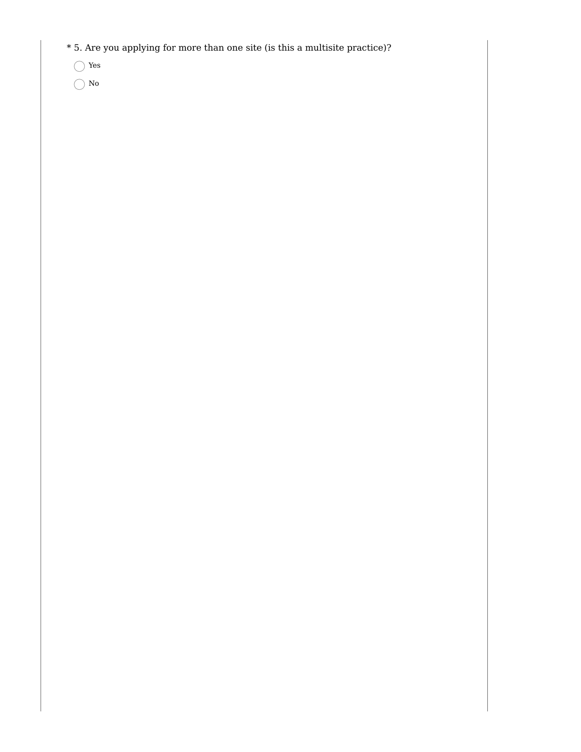- \* 5. Are you applying for more than one site (is this a multisite practice)?
	- Yes
	- No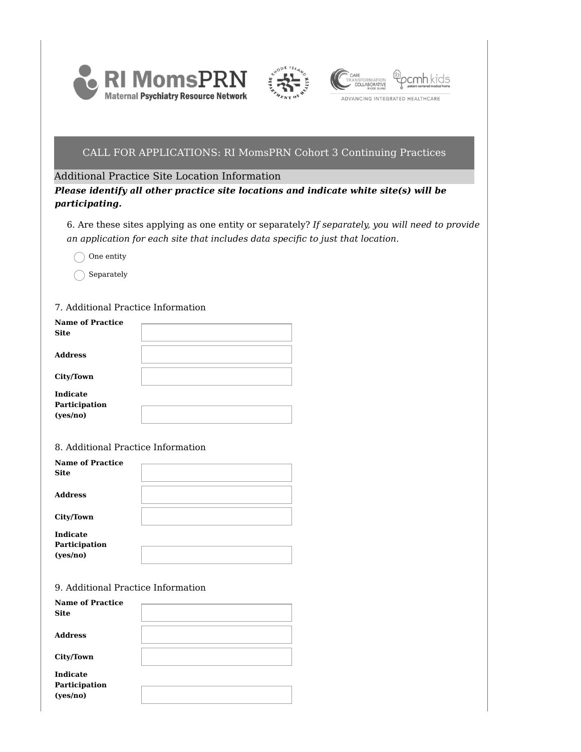





### CALL FOR APPLICATIONS: RI MomsPRN Cohort 3 Continuing Practices

Additional Practice Site Location Information

*Please identify all other practice site locations and indicate white site(s) will be participating.*

6. Are these sites applying as one entity or separately? *If separately, you will need to provide an application for each site that includes data specific to just that location.*

 $\bigcap$  One entity

Separately

#### 7. Additional Practice Information

| <b>Name of Practice</b> |  |
|-------------------------|--|
| <b>Site</b>             |  |
|                         |  |
| <b>Address</b>          |  |
|                         |  |
| City/Town               |  |
| Indicate                |  |
| Participation           |  |
|                         |  |
| (yes/no)                |  |

#### 8. Additional Practice Information

| <b>Name of Practice</b><br><b>Site</b> |  |
|----------------------------------------|--|
| <b>Address</b>                         |  |
| City/Town                              |  |
| <b>Indicate</b><br>Participation       |  |
| ( <b>ves</b> /no)                      |  |

#### 9. Additional Practice Information

| <b>Name of Practice</b><br><b>Site</b>                |  |
|-------------------------------------------------------|--|
| <b>Address</b>                                        |  |
| City/Town                                             |  |
| <b>Indicate</b><br>Participation<br>( <b>ves/no</b> ) |  |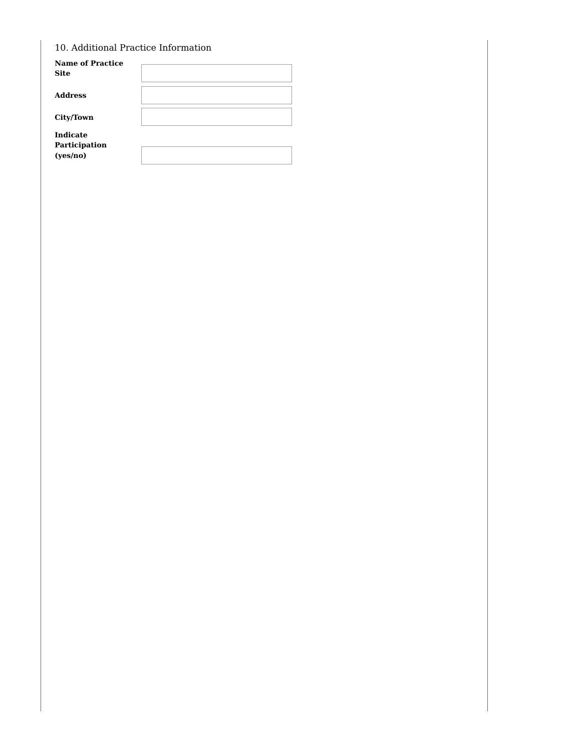# 10. Additional Practice Information

| <b>Name of Practice</b><br><b>Site</b> |  |
|----------------------------------------|--|
| <b>Address</b>                         |  |
| City/Town                              |  |

**Indicate Participation (yes/no)**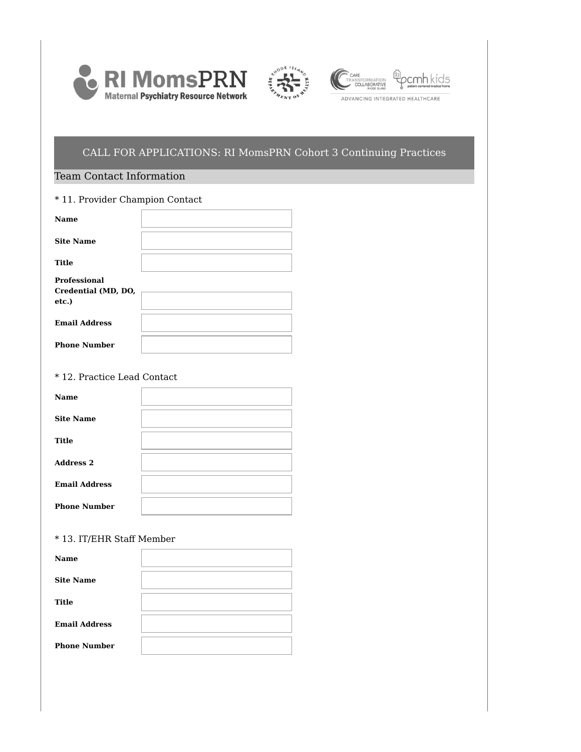





# CALL FOR APPLICATIONS: RI MomsPRN Cohort 3 Continuing Practices

#### Team Contact Information

| * 11. Provider Champion Contact                     |  |
|-----------------------------------------------------|--|
| <b>Name</b>                                         |  |
| <b>Site Name</b>                                    |  |
| <b>Title</b>                                        |  |
| <b>Professional</b><br>Credential (MD, DO,<br>etc.) |  |
| <b>Email Address</b>                                |  |
| <b>Phone Number</b>                                 |  |

### \* 12. Practice Lead Contact

| <b>Name</b>          |  |
|----------------------|--|
| <b>Site Name</b>     |  |
| <b>Title</b>         |  |
| <b>Address 2</b>     |  |
| <b>Email Address</b> |  |
| <b>Phone Number</b>  |  |

### \* 13. IT/EHR Staff Member

| <b>Name</b>          |  |
|----------------------|--|
| <b>Site Name</b>     |  |
| <b>Title</b>         |  |
| <b>Email Address</b> |  |
| <b>Phone Number</b>  |  |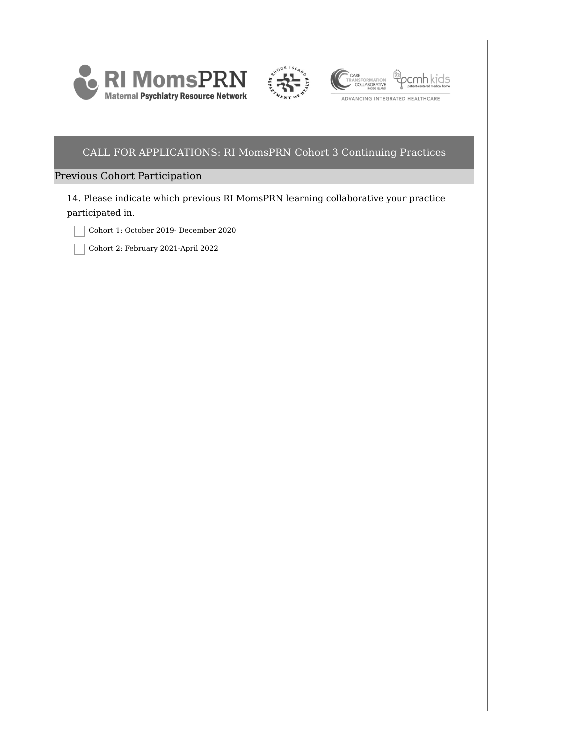





# CALL FOR APPLICATIONS: RI MomsPRN Cohort 3 Continuing Practices

#### Previous Cohort Participation

14. Please indicate which previous RI MomsPRN learning collaborative your practice participated in.

Cohort 1: October 2019- December 2020

Cohort 2: February 2021-April 2022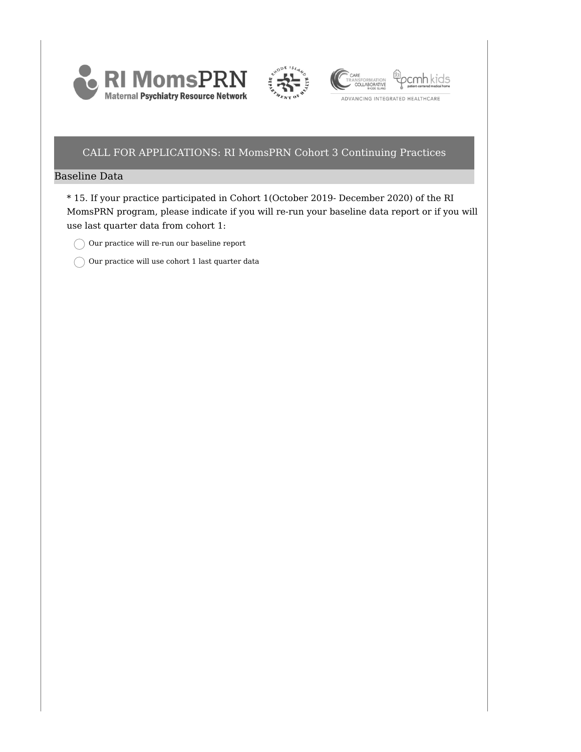





### CALL FOR APPLICATIONS: RI MomsPRN Cohort 3 Continuing Practices

#### Baseline Data

C

\* 15. If your practice participated in Cohort 1(October 2019- December 2020) of the RI MomsPRN program, please indicate if you will re-run your baseline data report or if you will use last quarter data from cohort 1:

Our practice will re-run our baseline report C

Our practice will use cohort 1 last quarter data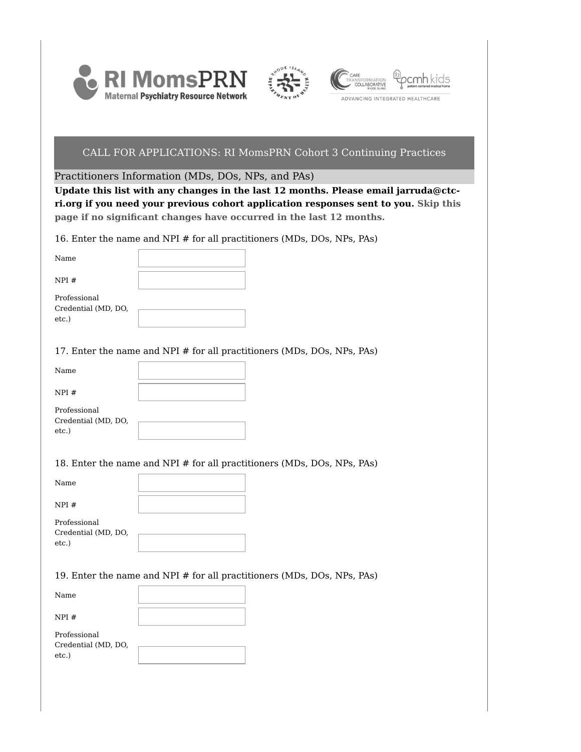





### CALL FOR APPLICATIONS: RI MomsPRN Cohort 3 Continuing Practices

Practitioners Information (MDs, DOs, NPs, and PAs)

**Update this list with any changes in the last 12 months. Please email jarruda@ctcri.org if you need your previous cohort application responses sent to you. Skip this page if no significant changes have occurred in the last 12 months.**

16. Enter the name and NPI # for all practitioners (MDs, DOs, NPs, PAs)

| Name                                         |                                                                         |  |
|----------------------------------------------|-------------------------------------------------------------------------|--|
| NPI#                                         |                                                                         |  |
| Professional<br>Credential (MD, DO,<br>etc.) |                                                                         |  |
|                                              | 17. Enter the name and NPI # for all practitioners (MDs, DOs, NPs, PAs) |  |
| Name                                         |                                                                         |  |
| NPI#                                         |                                                                         |  |
| Professional<br>Credential (MD, DO,<br>etc.) |                                                                         |  |
|                                              | 18. Enter the name and NPI # for all practitioners (MDs, DOs, NPs, PAs) |  |
| Name                                         |                                                                         |  |
| NPI#                                         |                                                                         |  |
| Professional<br>Credential (MD, DO,<br>etc.) |                                                                         |  |

19. Enter the name and NPI # for all practitioners (MDs, DOs, NPs, PAs)

| Name                                         |  |
|----------------------------------------------|--|
| NPI#                                         |  |
| Professional<br>Credential (MD, DO,<br>etc.) |  |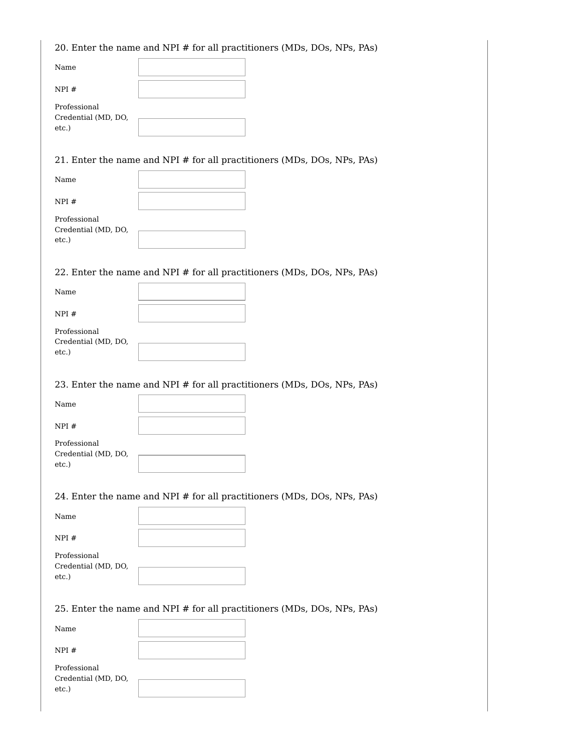| 20. Enter the name and NPI # for all practitioners (MDs, DOs, NPs, PAs) |
|-------------------------------------------------------------------------|
| Name                                                                    |
| NPI#                                                                    |
| Professional<br>Credential (MD, DO,<br>etc.)                            |
| 21. Enter the name and NPI # for all practitioners (MDs, DOs, NPs, PAs) |
| Name                                                                    |
| NPI#                                                                    |
| Professional<br>Credential (MD, DO,<br>etc.)                            |
| 22. Enter the name and NPI # for all practitioners (MDs, DOs, NPs, PAs) |
| Name                                                                    |
| NPI#                                                                    |
| Professional<br>Credential (MD, DO,<br>etc.)                            |
| 23. Enter the name and NPI # for all practitioners (MDs, DOs, NPs, PAs) |
| Name                                                                    |
| NPI#                                                                    |
| Professional<br>Credential (MD, DO,<br>etc.)                            |
| 24. Enter the name and NPI # for all practitioners (MDs, DOs, NPs, PAs) |
| Name                                                                    |
| NPI#                                                                    |
| Professional<br>Credential (MD, DO,<br>etc.)                            |
| 25. Enter the name and NPI # for all practitioners (MDs, DOs, NPs, PAs) |
| Name                                                                    |
| NPI#                                                                    |
| Professional<br>Credential (MD, DO,<br>etc.)                            |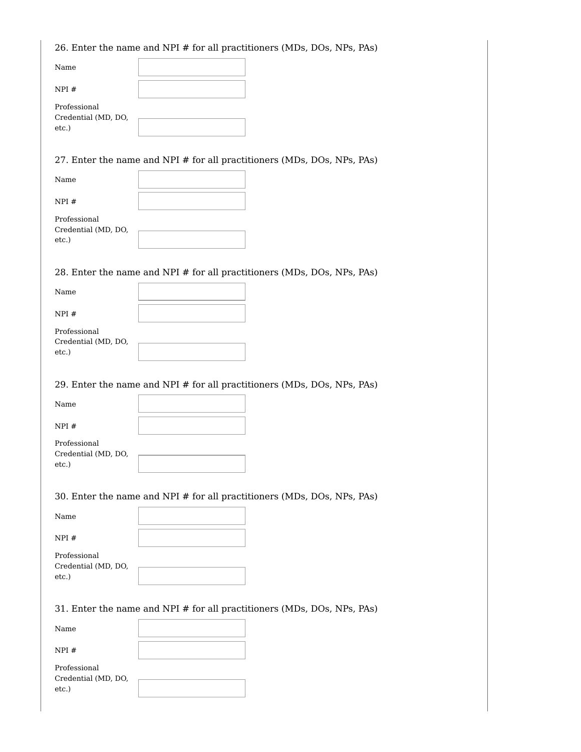| 26. Enter the name and NPI # for all practitioners (MDs, DOs, NPs, PAs) |                                                                         |  |
|-------------------------------------------------------------------------|-------------------------------------------------------------------------|--|
| Name                                                                    |                                                                         |  |
| NPI#                                                                    |                                                                         |  |
| Professional<br>Credential (MD, DO,<br>etc.)                            |                                                                         |  |
|                                                                         | 27. Enter the name and NPI # for all practitioners (MDs, DOs, NPs, PAs) |  |
| Name                                                                    |                                                                         |  |
| NPI#                                                                    |                                                                         |  |
| Professional<br>Credential (MD, DO,<br>etc.)                            |                                                                         |  |
|                                                                         | 28. Enter the name and NPI # for all practitioners (MDs, DOs, NPs, PAs) |  |
| Name                                                                    |                                                                         |  |
| NPI#                                                                    |                                                                         |  |
| Professional<br>Credential (MD, DO,<br>etc.)                            |                                                                         |  |
| 29. Enter the name and NPI # for all practitioners (MDs, DOs, NPs, PAs) |                                                                         |  |
| Name                                                                    |                                                                         |  |
| NPI#                                                                    |                                                                         |  |
| Professional<br>Credential (MD, DO,<br>etc.)                            |                                                                         |  |
| 30. Enter the name and NPI # for all practitioners (MDs, DOs, NPs, PAs) |                                                                         |  |
| Name                                                                    |                                                                         |  |
| NPI#                                                                    |                                                                         |  |
| Professional<br>Credential (MD, DO,<br>etc.)                            |                                                                         |  |
| 31. Enter the name and NPI # for all practitioners (MDs, DOs, NPs, PAs) |                                                                         |  |
| Name                                                                    |                                                                         |  |
| NPI#                                                                    |                                                                         |  |
| Professional<br>Credential (MD, DO,<br>etc.)                            |                                                                         |  |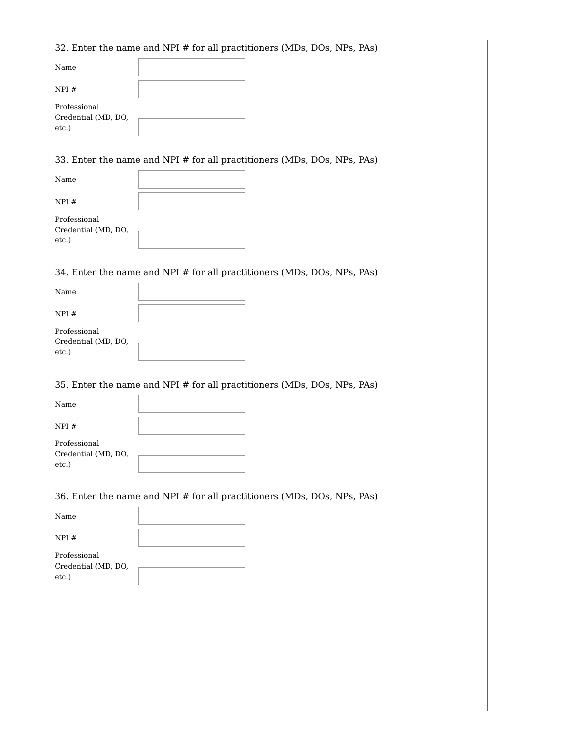| 32. Enter the name and NPI # for all practitioners (MDs, DOs, NPs, PAs) |  |  |
|-------------------------------------------------------------------------|--|--|
| Name                                                                    |  |  |
| NPI#                                                                    |  |  |
| Professional<br>Credential (MD, DO,<br>etc.)                            |  |  |
| 33. Enter the name and NPI # for all practitioners (MDs, DOs, NPs, PAs) |  |  |
| Name                                                                    |  |  |
| NPI#                                                                    |  |  |
| Professional<br>Credential (MD, DO,<br>etc.)                            |  |  |
| 34. Enter the name and NPI # for all practitioners (MDs, DOs, NPs, PAs) |  |  |
| Name                                                                    |  |  |
| NPI#                                                                    |  |  |
| Professional<br>Credential (MD, DO,<br>etc.)                            |  |  |
| 35. Enter the name and NPI # for all practitioners (MDs, DOs, NPs, PAs) |  |  |
| Name                                                                    |  |  |
| NPI#                                                                    |  |  |
| Professional<br>Credential (MD, DO,<br>etc.)                            |  |  |
| 36. Enter the name and NPI # for all practitioners (MDs, DOs, NPs, PAs) |  |  |
| Name                                                                    |  |  |
| NPI#                                                                    |  |  |
| Professional<br>Credential (MD, DO,<br>etc.)                            |  |  |
|                                                                         |  |  |
|                                                                         |  |  |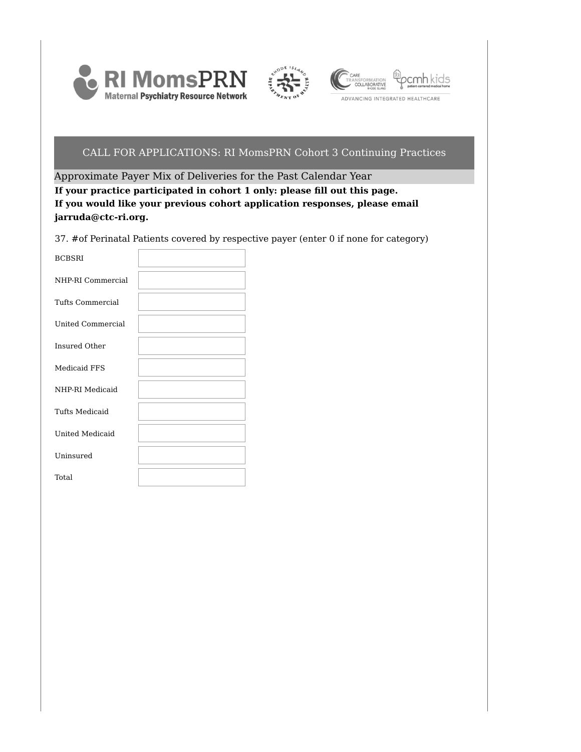





### CALL FOR APPLICATIONS: RI MomsPRN Cohort 3 Continuing Practices

Approximate Payer Mix of Deliveries for the Past Calendar Year

**If your practice participated in cohort 1 only: please fill out this page. If you would like your previous cohort application responses, please email jarruda@ctc-ri.org.**

37. #of Perinatal Patients covered by respective payer (enter 0 if none for category)

| <b>BCBSRI</b>           |  |
|-------------------------|--|
| NHP-RI Commercial       |  |
| <b>Tufts Commercial</b> |  |
| United Commercial       |  |
| Insured Other           |  |
| Medicaid FFS            |  |
| NHP-RI Medicaid         |  |
| Tufts Medicaid          |  |
| <b>United Medicaid</b>  |  |
| Uninsured               |  |
| Total                   |  |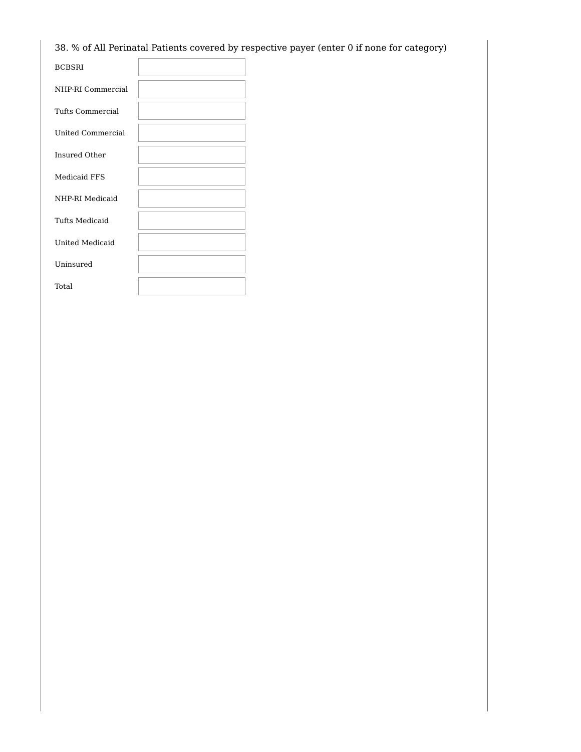# 38. % of All Perinatal Patients covered by respective payer (enter 0 if none for category)

| <b>BCBSRI</b>          |  |
|------------------------|--|
| NHP-RI Commercial      |  |
| Tufts Commercial       |  |
| United Commercial      |  |
| <b>Insured Other</b>   |  |
| <b>Medicaid FFS</b>    |  |
| NHP-RI Medicaid        |  |
| <b>Tufts Medicaid</b>  |  |
| <b>United Medicaid</b> |  |
| Uninsured              |  |
| Total                  |  |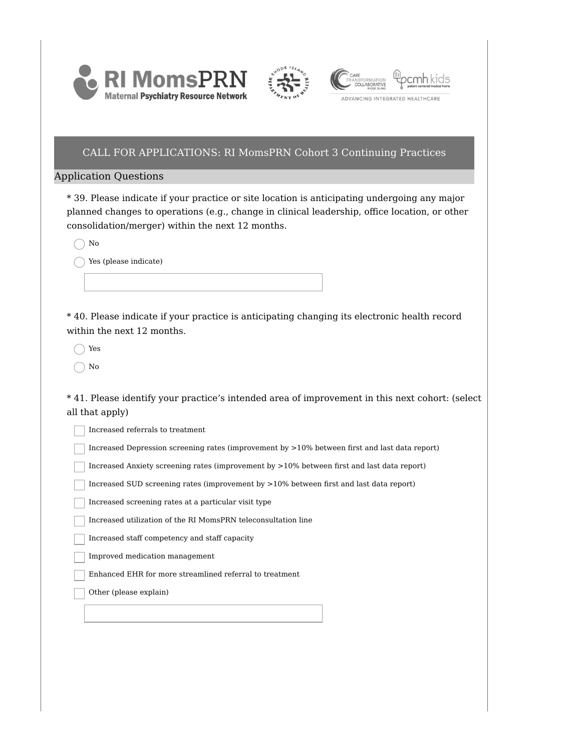





### CALL FOR APPLICATIONS: RI MomsPRN Cohort 3 Continuing Practices

#### Application Questions

\* 39. Please indicate if your practice or site location is anticipating undergoing any major planned changes to operations (e.g., change in clinical leadership, office location, or other consolidation/merger) within the next 12 months.

No

Yes (please indicate)

\* 40. Please indicate if your practice is anticipating changing its electronic health record within the next 12 months.

◯ Yes

No

\* 41. Please identify your practice's intended area of improvement in this next cohort: (select all that apply)

Increased referrals to treatment

Increased Depression screening rates (improvement by >10% between first and last data report)

Increased Anxiety screening rates (improvement by >10% between first and last data report)

Increased SUD screening rates (improvement by >10% between first and last data report)

Increased screening rates at a particular visit type

Increased utilization of the RI MomsPRN teleconsultation line

Increased staff competency and staff capacity

Improved medication management

Enhanced EHR for more streamlined referral to treatment

Other (please explain)